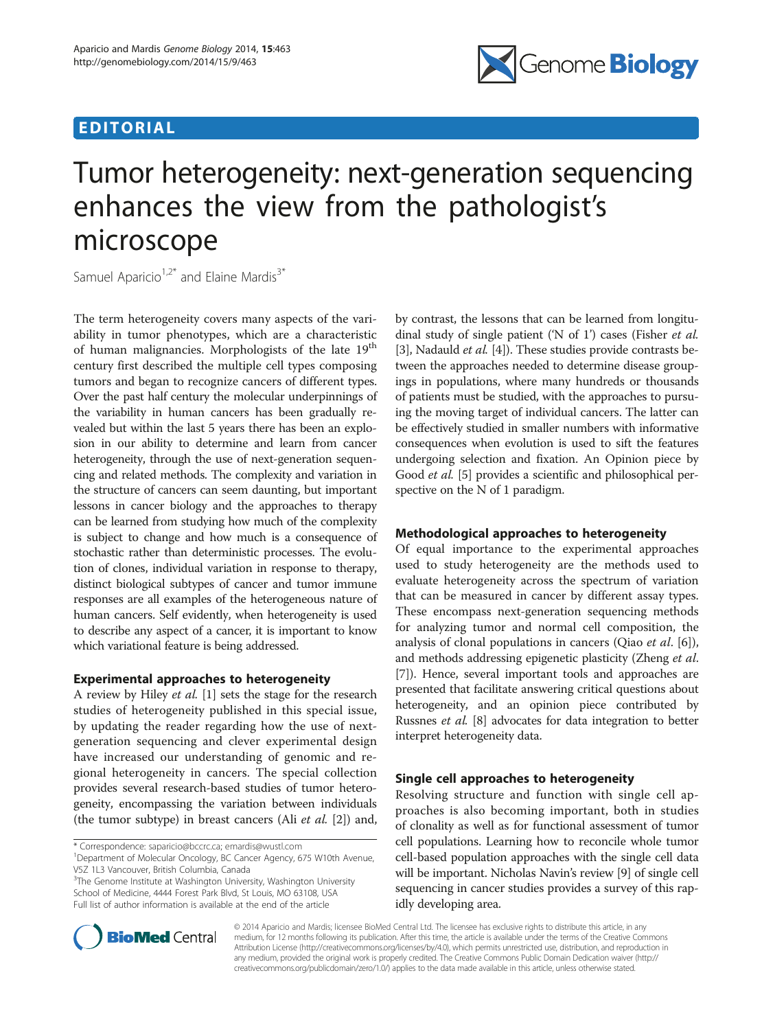## EDITORIAL



# Tumor heterogeneity: next-generation sequencing enhances the view from the pathologist's microscope

Samuel Aparicio<sup>1,2\*</sup> and Elaine Mardis<sup>3\*</sup>

The term heterogeneity covers many aspects of the variability in tumor phenotypes, which are a characteristic of human malignancies. Morphologists of the late 19<sup>th</sup> century first described the multiple cell types composing tumors and began to recognize cancers of different types. Over the past half century the molecular underpinnings of the variability in human cancers has been gradually revealed but within the last 5 years there has been an explosion in our ability to determine and learn from cancer heterogeneity, through the use of next-generation sequencing and related methods. The complexity and variation in the structure of cancers can seem daunting, but important lessons in cancer biology and the approaches to therapy can be learned from studying how much of the complexity is subject to change and how much is a consequence of stochastic rather than deterministic processes. The evolution of clones, individual variation in response to therapy, distinct biological subtypes of cancer and tumor immune responses are all examples of the heterogeneous nature of human cancers. Self evidently, when heterogeneity is used to describe any aspect of a cancer, it is important to know which variational feature is being addressed.

## Experimental approaches to heterogeneity

A review by Hiley et al. [[1\]](#page-1-0) sets the stage for the research studies of heterogeneity published in this special issue, by updating the reader regarding how the use of nextgeneration sequencing and clever experimental design have increased our understanding of genomic and regional heterogeneity in cancers. The special collection provides several research-based studies of tumor heterogeneity, encompassing the variation between individuals (the tumor subtype) in breast cancers (Ali *et al.* [\[2](#page-1-0)]) and,

<sup>3</sup>The Genome Institute at Washington University, Washington University School of Medicine, 4444 Forest Park Blvd, St Louis, MO 63108, USA Full list of author information is available at the end of the article

by contrast, the lessons that can be learned from longitudinal study of single patient ('N of 1') cases (Fisher et al. [[3\]](#page-1-0), Nadauld *et al.* [\[4\]](#page-1-0)). These studies provide contrasts between the approaches needed to determine disease groupings in populations, where many hundreds or thousands of patients must be studied, with the approaches to pursuing the moving target of individual cancers. The latter can be effectively studied in smaller numbers with informative consequences when evolution is used to sift the features undergoing selection and fixation. An Opinion piece by Good et al. [[5\]](#page-1-0) provides a scientific and philosophical perspective on the N of 1 paradigm.

## Methodological approaches to heterogeneity

Of equal importance to the experimental approaches used to study heterogeneity are the methods used to evaluate heterogeneity across the spectrum of variation that can be measured in cancer by different assay types. These encompass next-generation sequencing methods for analyzing tumor and normal cell composition, the analysis of clonal populations in cancers (Qiao et al. [\[6](#page-1-0)]), and methods addressing epigenetic plasticity (Zheng et al. [[7\]](#page-1-0)). Hence, several important tools and approaches are presented that facilitate answering critical questions about heterogeneity, and an opinion piece contributed by Russnes et al. [\[8](#page-1-0)] advocates for data integration to better interpret heterogeneity data.

## Single cell approaches to heterogeneity

Resolving structure and function with single cell approaches is also becoming important, both in studies of clonality as well as for functional assessment of tumor cell populations. Learning how to reconcile whole tumor cell-based population approaches with the single cell data will be important. Nicholas Navin's review [[9](#page-1-0)] of single cell sequencing in cancer studies provides a survey of this rapidly developing area.



© 2014 Aparicio and Mardis; licensee BioMed Central Ltd. The licensee has exclusive rights to distribute this article, in any medium, for 12 months following its publication. After this time, the article is available under the terms of the Creative Commons Attribution License [\(http://creativecommons.org/licenses/by/4.0](http://creativecommons.org/licenses/by/4.0)), which permits unrestricted use, distribution, and reproduction in any medium, provided the original work is properly credited. The Creative Commons Public Domain Dedication waiver [\(http://](http://creativecommons.org/publicdomain/zero/1.0/) [creativecommons.org/publicdomain/zero/1.0/](http://creativecommons.org/publicdomain/zero/1.0/)) applies to the data made available in this article, unless otherwise stated.

<sup>\*</sup> Correspondence: [saparicio@bccrc.ca](mailto:saparicio@bccrc.ca); [emardis@wustl.com](mailto:emardis@wustl.com) <sup>1</sup>

<sup>&</sup>lt;sup>1</sup>Department of Molecular Oncology, BC Cancer Agency, 675 W10th Avenue, V5Z 1L3 Vancouver, British Columbia, Canada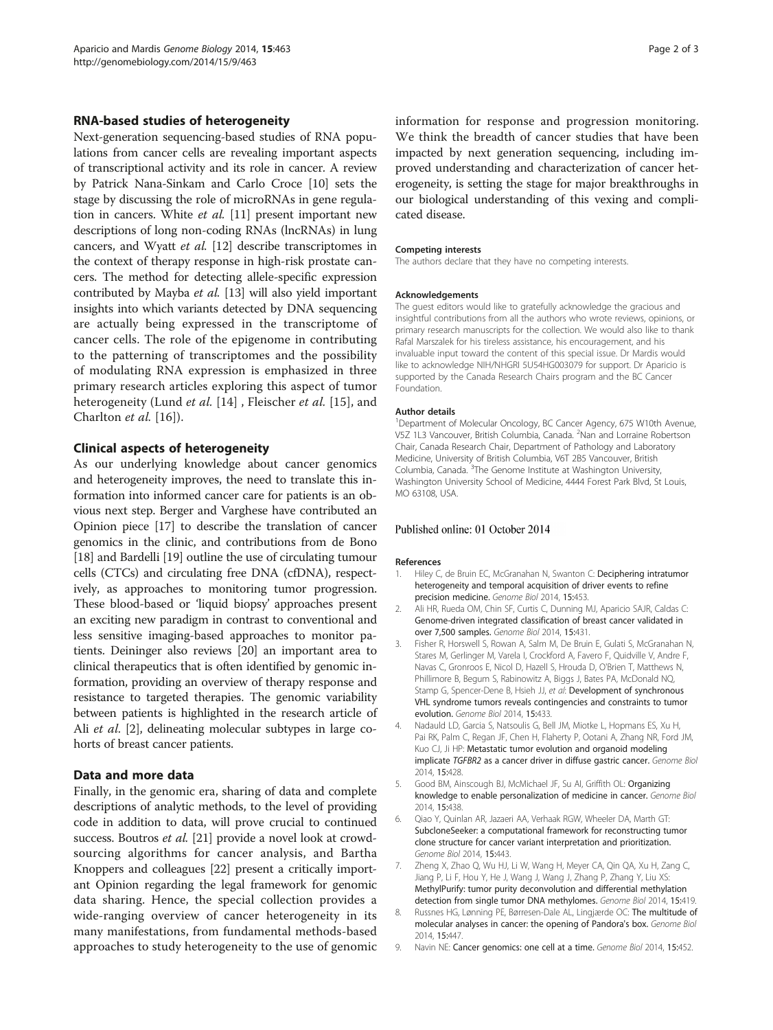## <span id="page-1-0"></span>RNA-based studies of heterogeneity

Next-generation sequencing-based studies of RNA populations from cancer cells are revealing important aspects of transcriptional activity and its role in cancer. A review by Patrick Nana-Sinkam and Carlo Croce [[10](#page-2-0)] sets the stage by discussing the role of microRNAs in gene regulation in cancers. White *et al.* [\[11](#page-2-0)] present important new descriptions of long non-coding RNAs (lncRNAs) in lung cancers, and Wyatt et al. [[12](#page-2-0)] describe transcriptomes in the context of therapy response in high-risk prostate cancers. The method for detecting allele-specific expression contributed by Mayba et al. [\[13\]](#page-2-0) will also yield important insights into which variants detected by DNA sequencing are actually being expressed in the transcriptome of cancer cells. The role of the epigenome in contributing to the patterning of transcriptomes and the possibility of modulating RNA expression is emphasized in three primary research articles exploring this aspect of tumor heterogeneity (Lund et al. [[14\]](#page-2-0), Fleischer et al. [\[15](#page-2-0)], and Charlton et al. [[16\]](#page-2-0)).

## Clinical aspects of heterogeneity

As our underlying knowledge about cancer genomics and heterogeneity improves, the need to translate this information into informed cancer care for patients is an obvious next step. Berger and Varghese have contributed an Opinion piece [\[17\]](#page-2-0) to describe the translation of cancer genomics in the clinic, and contributions from de Bono [[18](#page-2-0)] and Bardelli [[19](#page-2-0)] outline the use of circulating tumour cells (CTCs) and circulating free DNA (cfDNA), respectively, as approaches to monitoring tumor progression. These blood-based or 'liquid biopsy' approaches present an exciting new paradigm in contrast to conventional and less sensitive imaging-based approaches to monitor patients. Deininger also reviews [\[20\]](#page-2-0) an important area to clinical therapeutics that is often identified by genomic information, providing an overview of therapy response and resistance to targeted therapies. The genomic variability between patients is highlighted in the research article of Ali *et al.* [2], delineating molecular subtypes in large cohorts of breast cancer patients.

## Data and more data

Finally, in the genomic era, sharing of data and complete descriptions of analytic methods, to the level of providing code in addition to data, will prove crucial to continued success. Boutros et al. [\[21\]](#page-2-0) provide a novel look at crowdsourcing algorithms for cancer analysis, and Bartha Knoppers and colleagues [[22\]](#page-2-0) present a critically important Opinion regarding the legal framework for genomic data sharing. Hence, the special collection provides a wide-ranging overview of cancer heterogeneity in its many manifestations, from fundamental methods-based approaches to study heterogeneity to the use of genomic information for response and progression monitoring. We think the breadth of cancer studies that have been impacted by next generation sequencing, including improved understanding and characterization of cancer heterogeneity, is setting the stage for major breakthroughs in our biological understanding of this vexing and complicated disease.

#### Competing interests

The authors declare that they have no competing interests.

#### Acknowledgements

The guest editors would like to gratefully acknowledge the gracious and insightful contributions from all the authors who wrote reviews, opinions, or primary research manuscripts for the collection. We would also like to thank Rafal Marszalek for his tireless assistance, his encouragement, and his invaluable input toward the content of this special issue. Dr Mardis would like to acknowledge NIH/NHGRI 5U54HG003079 for support. Dr Aparicio is supported by the Canada Research Chairs program and the BC Cancer Foundation.

#### Author details

<sup>1</sup>Department of Molecular Oncology, BC Cancer Agency, 675 W10th Avenue, V5Z 1L3 Vancouver, British Columbia, Canada. <sup>2</sup>Nan and Lorraine Robertson Chair, Canada Research Chair, Department of Pathology and Laboratory Medicine, University of British Columbia, V6T 2B5 Vancouver, British Columbia, Canada.<sup>3</sup>The Genome Institute at Washington University Washington University School of Medicine, 4444 Forest Park Blvd, St Louis, MO 63108, USA.

#### Published online: 01 October 2014

#### References

- Hiley C, de Bruin EC, McGranahan N, Swanton C: Deciphering intratumor heterogeneity and temporal acquisition of driver events to refine precision medicine. Genome Biol 2014, 15:453.
- 2. Ali HR, Rueda OM, Chin SF, Curtis C, Dunning MJ, Aparicio SAJR, Caldas C: Genome-driven integrated classification of breast cancer validated in over 7,500 samples. Genome Biol 2014, 15:431.
- 3. Fisher R, Horswell S, Rowan A, Salm M, De Bruin E, Gulati S, McGranahan N, Stares M, Gerlinger M, Varela I, Crockford A, Favero F, Quidville V, Andre F, Navas C, Gronroos E, Nicol D, Hazell S, Hrouda D, O'Brien T, Matthews N, Phillimore B, Begum S, Rabinowitz A, Biggs J, Bates PA, McDonald NQ, Stamp G, Spencer-Dene B, Hsieh JJ, et al: Development of synchronous VHL syndrome tumors reveals contingencies and constraints to tumor evolution. Genome Biol 2014, 15:433.
- 4. Nadauld LD, Garcia S, Natsoulis G, Bell JM, Miotke L, Hopmans ES, Xu H, Pai RK, Palm C, Regan JF, Chen H, Flaherty P, Ootani A, Zhang NR, Ford JM, Kuo CJ, Ji HP: Metastatic tumor evolution and organoid modeling implicate TGFBR2 as a cancer driver in diffuse gastric cancer. Genome Biol 2014, 15:428.
- 5. Good BM, Ainscough BJ, McMichael JF, Su AI, Griffith OL: Organizing knowledge to enable personalization of medicine in cancer. Genome Biol 2014, 15:438.
- 6. Qiao Y, Quinlan AR, Jazaeri AA, Verhaak RGW, Wheeler DA, Marth GT: SubcloneSeeker: a computational framework for reconstructing tumor clone structure for cancer variant interpretation and prioritization. Genome Biol 2014, 15:443.
- 7. Zheng X, Zhao Q, Wu HJ, Li W, Wang H, Meyer CA, Qin QA, Xu H, Zang C, Jiang P, Li F, Hou Y, He J, Wang J, Wang J, Zhang P, Zhang Y, Liu XS: MethylPurify: tumor purity deconvolution and differential methylation detection from single tumor DNA methylomes. Genome Biol 2014, 15:419.
- 8. Russnes HG, Lønning PE, Børresen-Dale AL, Lingjærde OC: The multitude of molecular analyses in cancer: the opening of Pandora's box. Genome Biol 2014, 15:447.
- 9. Navin NE: Cancer genomics: one cell at a time. Genome Biol 2014, 15:452.